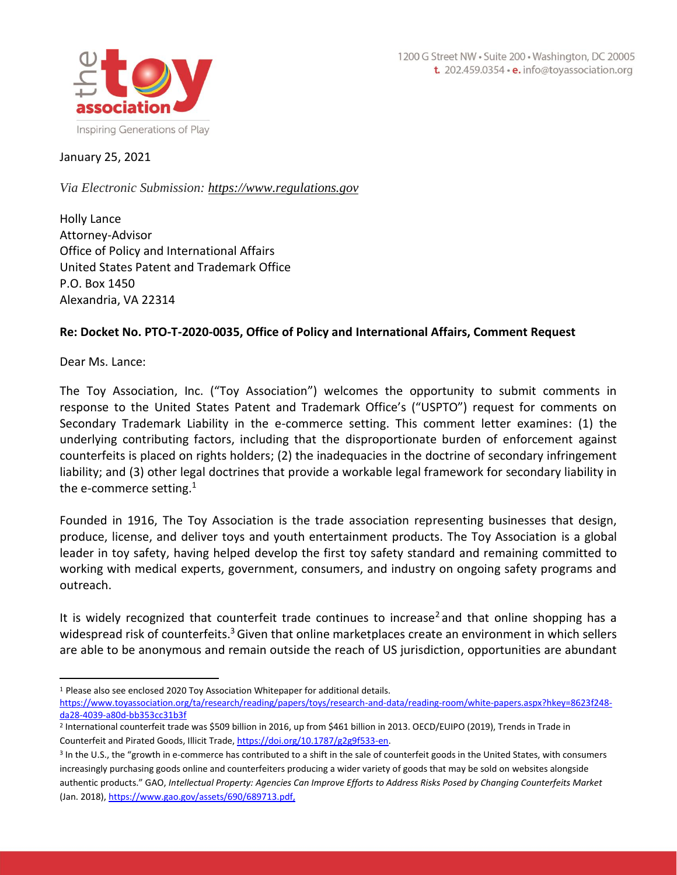

#### January 25, 2021

*Via Electronic Submission: [https://www.regulations.gov](https://www.regulations.gov/)*

Holly Lance Attorney-Advisor Office of Policy and International Affairs United States Patent and Trademark Office P.O. Box 1450 Alexandria, VA 22314

#### **Re: Docket No. PTO-T-2020-0035, Office of Policy and International Affairs, Comment Request**

Dear Ms. Lance:

The Toy Association, Inc. ("Toy Association") welcomes the opportunity to submit comments in response to the United States Patent and Trademark Office's ("USPTO") request for comments on Secondary Trademark Liability in the e-commerce setting. This comment letter examines: (1) the underlying contributing factors, including that the disproportionate burden of enforcement against counterfeits is placed on rights holders; (2) the inadequacies in the doctrine of secondary infringement liability; and (3) other legal doctrines that provide a workable legal framework for secondary liability in the e-commerce setting. $1$ 

Founded in 1916, The Toy Association is the trade association representing businesses that design, produce, license, and deliver toys and youth entertainment products. The Toy Association is a global leader in toy safety, having helped develop the first toy safety standard and remaining committed to working with medical experts, government, consumers, and industry on ongoing safety programs and outreach.

It is widely recognized that counterfeit trade continues to increase<sup>2</sup> and that online shopping has a widespread risk of counterfeits.<sup>3</sup> Given that online marketplaces create an environment in which sellers are able to be anonymous and remain outside the reach of US jurisdiction, opportunities are abundant

<sup>1</sup> Please also see enclosed 2020 Toy Association Whitepaper for additional details. [https://www.toyassociation.org/ta/research/reading/papers/toys/research-and-data/reading-room/white-papers.aspx?hkey=8623f248](https://www.toyassociation.org/ta/research/reading/papers/toys/research-and-data/reading-room/white-papers.aspx?hkey=8623f248-da28-4039-a80d-bb353cc31b3f) [da28-4039-a80d-bb353cc31b3f](https://www.toyassociation.org/ta/research/reading/papers/toys/research-and-data/reading-room/white-papers.aspx?hkey=8623f248-da28-4039-a80d-bb353cc31b3f)

<sup>2</sup> International counterfeit trade was \$509 billion in 2016, up from \$461 billion in 2013. OECD/EUIPO (2019), Trends in Trade in Counterfeit and Pirated Goods, Illicit Trade[, https://doi.org/10.1787/g2g9f533-en.](https://doi.org/10.1787/g2g9f533-en)

<sup>&</sup>lt;sup>3</sup> In the U.S., the "growth in e-commerce has contributed to a shift in the sale of counterfeit goods in the United States, with consumers increasingly purchasing goods online and counterfeiters producing a wider variety of goods that may be sold on websites alongside authentic products." GAO, *Intellectual Property: Agencies Can Improve Efforts to Address Risks Posed by Changing Counterfeits Market* (Jan. 2018)[, https://www.gao.gov/assets/690/689713.pdf,](https://www.gao.gov/assets/690/689713.pdf)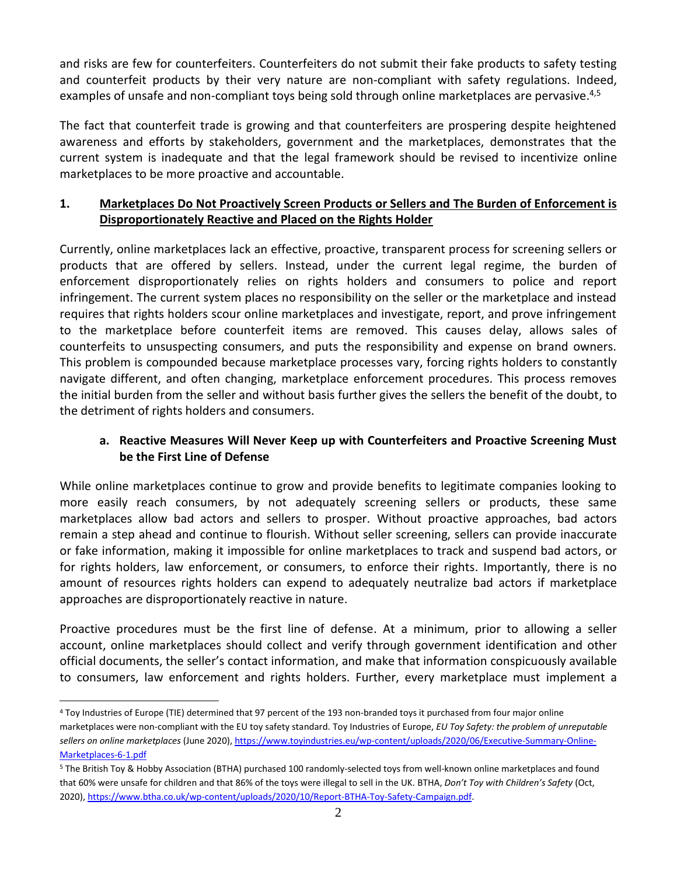and risks are few for counterfeiters. Counterfeiters do not submit their fake products to safety testing and counterfeit products by their very nature are non-compliant with safety regulations. Indeed, examples of unsafe and non-compliant toys being sold through online marketplaces are pervasive.<sup>4,5</sup>

The fact that counterfeit trade is growing and that counterfeiters are prospering despite heightened awareness and efforts by stakeholders, government and the marketplaces, demonstrates that the current system is inadequate and that the legal framework should be revised to incentivize online marketplaces to be more proactive and accountable.

## **1. Marketplaces Do Not Proactively Screen Products or Sellers and The Burden of Enforcement is Disproportionately Reactive and Placed on the Rights Holder**

Currently, online marketplaces lack an effective, proactive, transparent process for screening sellers or products that are offered by sellers. Instead, under the current legal regime, the burden of enforcement disproportionately relies on rights holders and consumers to police and report infringement. The current system places no responsibility on the seller or the marketplace and instead requires that rights holders scour online marketplaces and investigate, report, and prove infringement to the marketplace before counterfeit items are removed. This causes delay, allows sales of counterfeits to unsuspecting consumers, and puts the responsibility and expense on brand owners. This problem is compounded because marketplace processes vary, forcing rights holders to constantly navigate different, and often changing, marketplace enforcement procedures. This process removes the initial burden from the seller and without basis further gives the sellers the benefit of the doubt, to the detriment of rights holders and consumers.

## **a. Reactive Measures Will Never Keep up with Counterfeiters and Proactive Screening Must be the First Line of Defense**

While online marketplaces continue to grow and provide benefits to legitimate companies looking to more easily reach consumers, by not adequately screening sellers or products, these same marketplaces allow bad actors and sellers to prosper. Without proactive approaches, bad actors remain a step ahead and continue to flourish. Without seller screening, sellers can provide inaccurate or fake information, making it impossible for online marketplaces to track and suspend bad actors, or for rights holders, law enforcement, or consumers, to enforce their rights. Importantly, there is no amount of resources rights holders can expend to adequately neutralize bad actors if marketplace approaches are disproportionately reactive in nature.

Proactive procedures must be the first line of defense. At a minimum, prior to allowing a seller account, online marketplaces should collect and verify through government identification and other official documents, the seller's contact information, and make that information conspicuously available to consumers, law enforcement and rights holders. Further, every marketplace must implement a

<sup>4</sup> Toy Industries of Europe (TIE) determined that 97 percent of the 193 non-branded toys it purchased from four major online marketplaces were non-compliant with the EU toy safety standard. Toy Industries of Europe, *EU Toy Safety: the problem of unreputable sellers on online marketplaces* (June 2020)[, https://www.toyindustries.eu/wp-content/uploads/2020/06/Executive-Summary-Online-](https://www.toyindustries.eu/wp-content/uploads/2020/06/Executive-Summary-Online-Marketplaces-6-1.pdf)[Marketplaces-6-1.pdf](https://www.toyindustries.eu/wp-content/uploads/2020/06/Executive-Summary-Online-Marketplaces-6-1.pdf)

<sup>5</sup> The British Toy & Hobby Association (BTHA) purchased 100 randomly-selected toys from well-known online marketplaces and found that 60% were unsafe for children and that 86% of the toys were illegal to sell in the UK. BTHA, *Don't Toy with Children's Safety* (Oct, 2020), [https://www.btha.co.uk/wp-content/uploads/2020/10/Report-BTHA-Toy-Safety-Campaign.pdf.](https://www.btha.co.uk/wp-content/uploads/2020/10/Report-BTHA-Toy-Safety-Campaign.pdf)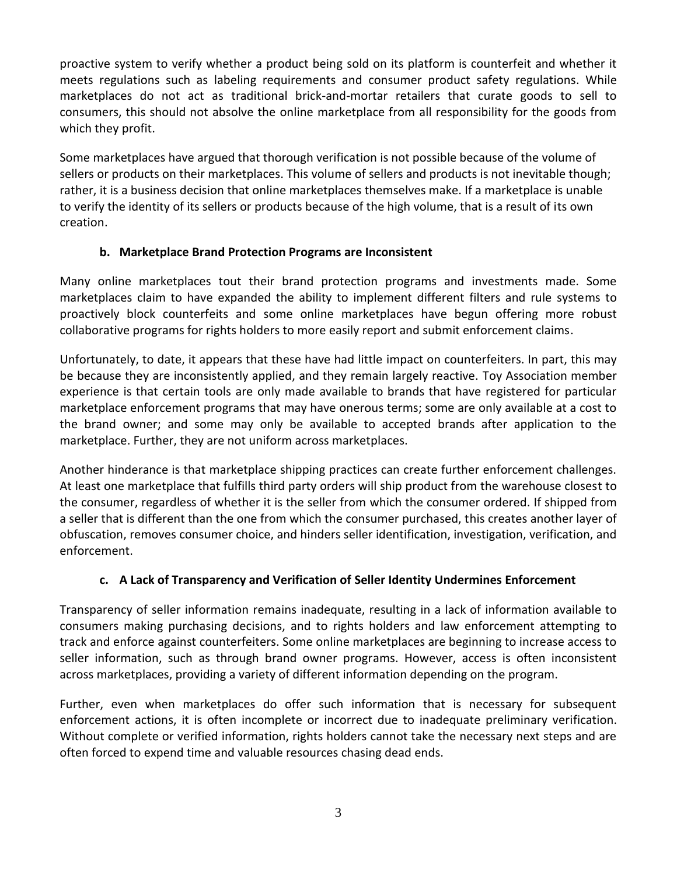proactive system to verify whether a product being sold on its platform is counterfeit and whether it meets regulations such as labeling requirements and consumer product safety regulations. While marketplaces do not act as traditional brick-and-mortar retailers that curate goods to sell to consumers, this should not absolve the online marketplace from all responsibility for the goods from which they profit.

Some marketplaces have argued that thorough verification is not possible because of the volume of sellers or products on their marketplaces. This volume of sellers and products is not inevitable though; rather, it is a business decision that online marketplaces themselves make. If a marketplace is unable to verify the identity of its sellers or products because of the high volume, that is a result of its own creation.

## **b. Marketplace Brand Protection Programs are Inconsistent**

Many online marketplaces tout their brand protection programs and investments made. Some marketplaces claim to have expanded the ability to implement different filters and rule systems to proactively block counterfeits and some online marketplaces have begun offering more robust collaborative programs for rights holders to more easily report and submit enforcement claims.

Unfortunately, to date, it appears that these have had little impact on counterfeiters. In part, this may be because they are inconsistently applied, and they remain largely reactive. Toy Association member experience is that certain tools are only made available to brands that have registered for particular marketplace enforcement programs that may have onerous terms; some are only available at a cost to the brand owner; and some may only be available to accepted brands after application to the marketplace. Further, they are not uniform across marketplaces.

Another hinderance is that marketplace shipping practices can create further enforcement challenges. At least one marketplace that fulfills third party orders will ship product from the warehouse closest to the consumer, regardless of whether it is the seller from which the consumer ordered. If shipped from a seller that is different than the one from which the consumer purchased, this creates another layer of obfuscation, removes consumer choice, and hinders seller identification, investigation, verification, and enforcement.

# **c. A Lack of Transparency and Verification of Seller Identity Undermines Enforcement**

Transparency of seller information remains inadequate, resulting in a lack of information available to consumers making purchasing decisions, and to rights holders and law enforcement attempting to track and enforce against counterfeiters. Some online marketplaces are beginning to increase access to seller information, such as through brand owner programs. However, access is often inconsistent across marketplaces, providing a variety of different information depending on the program.

Further, even when marketplaces do offer such information that is necessary for subsequent enforcement actions, it is often incomplete or incorrect due to inadequate preliminary verification. Without complete or verified information, rights holders cannot take the necessary next steps and are often forced to expend time and valuable resources chasing dead ends.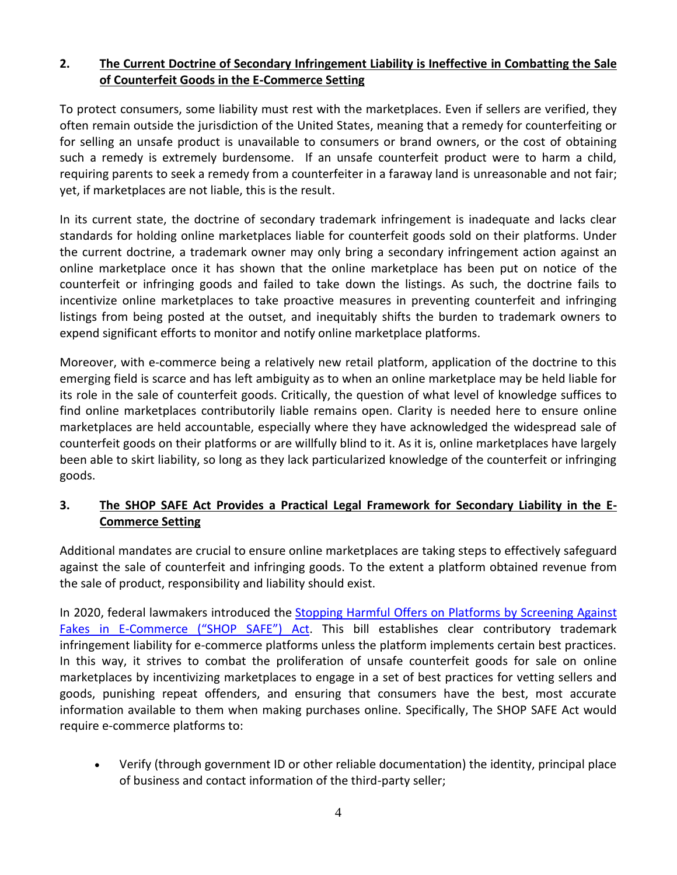## **2. The Current Doctrine of Secondary Infringement Liability is Ineffective in Combatting the Sale of Counterfeit Goods in the E-Commerce Setting**

To protect consumers, some liability must rest with the marketplaces. Even if sellers are verified, they often remain outside the jurisdiction of the United States, meaning that a remedy for counterfeiting or for selling an unsafe product is unavailable to consumers or brand owners, or the cost of obtaining such a remedy is extremely burdensome. If an unsafe counterfeit product were to harm a child, requiring parents to seek a remedy from a counterfeiter in a faraway land is unreasonable and not fair; yet, if marketplaces are not liable, this is the result.

In its current state, the doctrine of secondary trademark infringement is inadequate and lacks clear standards for holding online marketplaces liable for counterfeit goods sold on their platforms. Under the current doctrine, a trademark owner may only bring a secondary infringement action against an online marketplace once it has shown that the online marketplace has been put on notice of the counterfeit or infringing goods and failed to take down the listings. As such, the doctrine fails to incentivize online marketplaces to take proactive measures in preventing counterfeit and infringing listings from being posted at the outset, and inequitably shifts the burden to trademark owners to expend significant efforts to monitor and notify online marketplace platforms.

Moreover, with e-commerce being a relatively new retail platform, application of the doctrine to this emerging field is scarce and has left ambiguity as to when an online marketplace may be held liable for its role in the sale of counterfeit goods. Critically, the question of what level of knowledge suffices to find online marketplaces contributorily liable remains open. Clarity is needed here to ensure online marketplaces are held accountable, especially where they have acknowledged the widespread sale of counterfeit goods on their platforms or are willfully blind to it. As it is, online marketplaces have largely been able to skirt liability, so long as they lack particularized knowledge of the counterfeit or infringing goods.

## **3. The SHOP SAFE Act Provides a Practical Legal Framework for Secondary Liability in the E-Commerce Setting**

Additional mandates are crucial to ensure online marketplaces are taking steps to effectively safeguard against the sale of counterfeit and infringing goods. To the extent a platform obtained revenue from the sale of product, responsibility and liability should exist.

In 2020, federal lawmakers introduced the Stopping Harmful Offers on Platforms by [Screening](https://judiciary.house.gov/uploadedfiles/shop_safe_-_bill_text.pdf) Against Fakes in [E-Commerce](https://judiciary.house.gov/uploadedfiles/shop_safe_-_bill_text.pdf) ("SHOP SAFE") Act. This bill establishes clear contributory trademark infringement liability for e-commerce platforms unless the platform implements certain best practices. In this way, it strives to combat the proliferation of unsafe counterfeit goods for sale on online marketplaces by incentivizing marketplaces to engage in a set of best practices for vetting sellers and goods, punishing repeat offenders, and ensuring that consumers have the best, most accurate information available to them when making purchases online. Specifically, The SHOP SAFE Act would require e-commerce platforms to:

• Verify (through government ID or other reliable documentation) the identity, principal place of business and contact information of the third-party seller;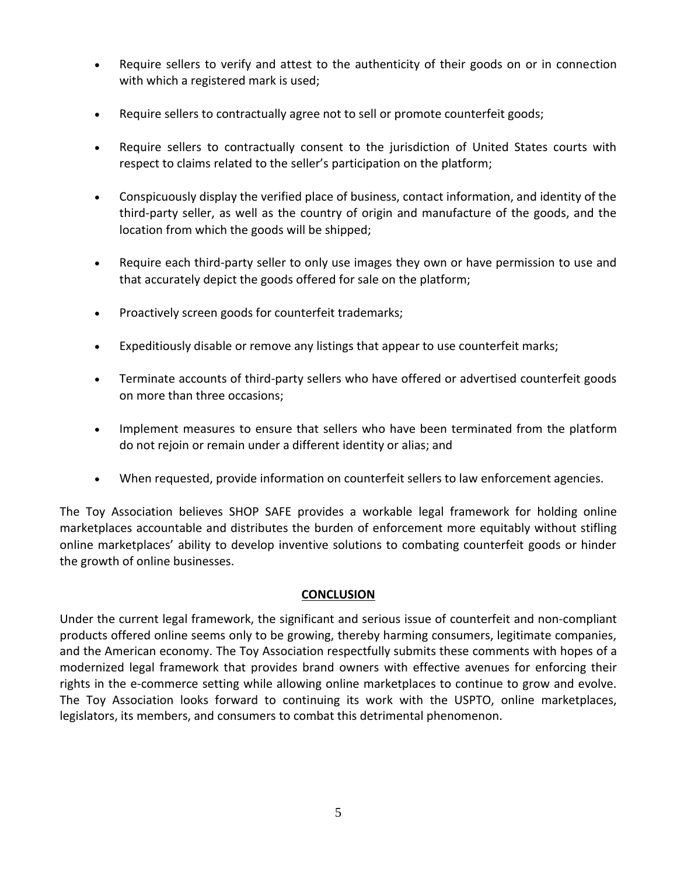- Require sellers to verify and attest to the authenticity of their goods on or in connection with which a registered mark is used;
- Require sellers to contractually agree not to sell or promote counterfeit goods;
- Require sellers to contractually consent to the jurisdiction of United States courts with respect to claims related to the seller's participation on the platform;
- Conspicuously display the verified place of business, contact information, and identity of the third-party seller, as well as the country of origin and manufacture of the goods, and the location from which the goods will be shipped;
- Require each third-party seller to only use images they own or have permission to use and that accurately depict the goods offered for sale on the platform;
- Proactively screen goods for counterfeit trademarks;
- Expeditiously disable or remove any listings that appear to use counterfeit marks;
- Terminate accounts of third-party sellers who have offered or advertised counterfeit goods on more than three occasions;
- Implement measures to ensure that sellers who have been terminated from the platform do not rejoin or remain under a different identity or alias; and
- When requested, provide information on counterfeit sellers to law enforcement agencies.

The Toy Association believes SHOP SAFE provides a workable legal framework for holding online marketplaces accountable and distributes the burden of enforcement more equitably without stifling online marketplaces' ability to develop inventive solutions to combating counterfeit goods or hinder the growth of online businesses.

#### **CONCLUSION**

Under the current legal framework, the significant and serious issue of counterfeit and non-compliant products offered online seems only to be growing, thereby harming consumers, legitimate companies, and the American economy. The Toy Association respectfully submits these comments with hopes of a modernized legal framework that provides brand owners with effective avenues for enforcing their rights in the e-commerce setting while allowing online marketplaces to continue to grow and evolve. The Toy Association looks forward to continuing its work with the USPTO, online marketplaces, legislators, its members, and consumers to combat this detrimental phenomenon.